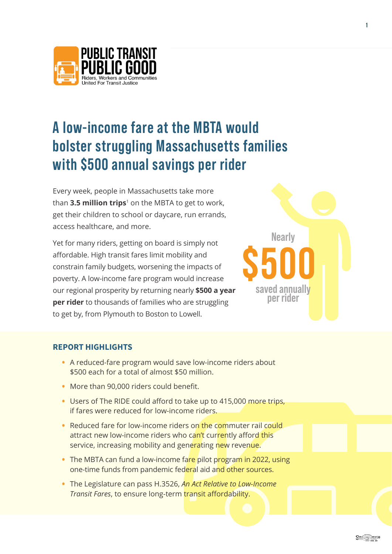<span id="page-0-0"></span>

# **A low-income fare at the MBTA would bolster struggling Massachusetts families with \$500 annual savings per rider**

Every week, people in Massachusetts take more than **3.5 million trips**[1](#page-6-0) on the MBTA to get to work, get their children to school or daycare, run errands, access healthcare, and more.

Yet for many riders, getting on board is simply not affordable. High transit fares limit mobility and constrain family budgets, worsening the impacts of poverty. A low-income fare program would increase our regional prosperity by returning nearly **\$500 a year per rider** to thousands of families who are struggling to get by, from Plymouth to Boston to Lowell.



## REPORT HIGHLIGHTS

- **•** A reduced-fare program would save low-income riders about \$500 each for a total of almost \$50 million.
- **•** More than 90,000 riders could benefit.
- **•** Users of The RIDE could afford to take up to 415,000 more trips, if fares were reduced for low-income riders.
- **•** Reduced fare for low-income riders on the commuter rail could attract new low-income riders who can't currently afford this service, increasing mobility and generating new revenue.
- **•** The MBTA can fund a low-income fare pilot program in 2022, using one-time funds from pandemic federal aid and other sources.
- **•** The Legislature can pass H.3526, *An Act Relative to Low-Income Transit Fares*, to ensure long-term transit affordability.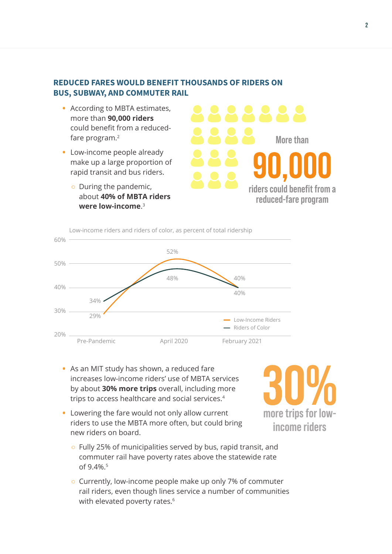## <span id="page-1-0"></span>REDUCED FARES WOULD BENEFIT THOUSANDS OF RIDERS ON BUS, SUBWAY, AND COMMUTER RAIL

- **•** According to MBTA estimates, more than **90,000 riders** could benefit from a reducedfare program[.2](#page-6-0)
- **•** Low-income people already make up a large proportion of rapid transit and bus riders.
	- During the pandemic, about **40% of MBTA riders were low-income**. [3](#page-6-0)

**riders could benefit from a reduced-fare program More than**



- **•** As an MIT study has shown, a reduced fare increases low-income riders' use of MBTA services by about **30% more trips** overall, including more trips to access healthcare and social services.[4](#page-6-0)
- **•** Lowering the fare would not only allow current riders to use the MBTA more often, but could bring new riders on board.
	- Fully 25% of municipalities served by bus, rapid transit, and commuter rail have poverty rates above the statewide rate of 9.4%.<sup>[5](#page-6-0)</sup>
	- Currently, low-income people make up only 7% of commuter rail riders, even though lines service a number of communities with elevated poverty rates.<sup>[6](#page-6-0)</sup>

**more trips for lowincome riders**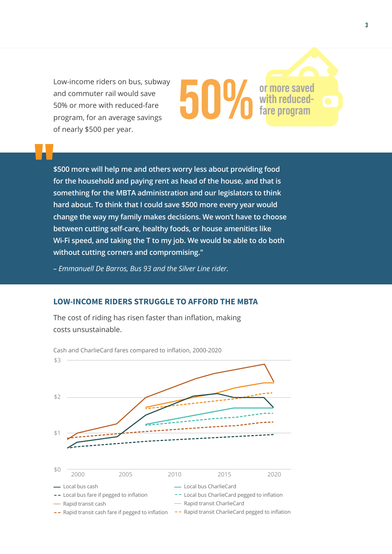Low-income riders on bus, subway and commuter rail would save 50% or more with reduced-fare program, for an average savings of nearly \$500 per year.

# **\$500 more will help me and others worry less about providing food for the household and paying rent as head of the house, and that is something for the MBTA administration and our legislators to think hard about. To think that I could save \$500 more every year would change the way my family makes decisions. We won't have to choose between cutting self-care, healthy foods, or house amenities like Wi-Fi speed, and taking the T to my job. We would be able to do both without cutting corners and compromising."**

hiiv

*– Emmanuell De Barros, Bus 93 and the Silver Line rider.*

### LOW-INCOME RIDERS STRUGGLE TO AFFORD THE MBTA

The cost of riding has risen faster than inflation, making costs unsustainable.



**or more saved with reducedfare program**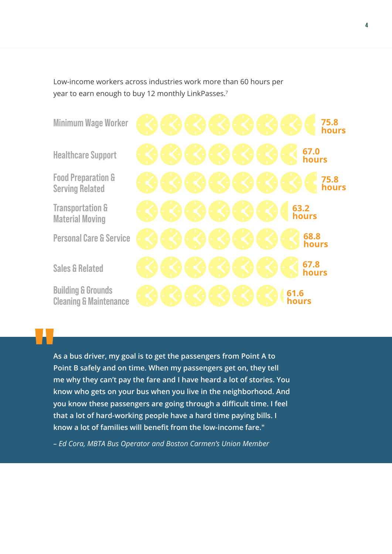<span id="page-3-0"></span>Low-income workers across industries work more than 60 hours per year to earn enough to buy 12 monthly LinkPasses.[7](#page-6-0)

**Minimum Wage Worker**

**Healthcare Support**

**Food Preparation & Serving Related**

**Transportation & Material Moving**

**Personal Care & Service**

**Sales & Related**

**Building & Grounds Cleaning & Maintenance**

**75.8 hours 75.8 hours 67.0 hours 67.8 hours 61.6 hours 68.8 hours 63.2 hours**

**As a bus driver, my goal is to get the passengers from Point A to Point B safely and on time. When my passengers get on, they tell me why they can't pay the fare and I have heard a lot of stories. You know who gets on your bus when you live in the neighborhood. And you know these passengers are going through a difficult time. I feel that a lot of hard-working people have a hard time paying bills. I know a lot of families will benefit from the low-income fare."**

*– Ed Cora, MBTA Bus Operator and Boston Carmen's Union Member*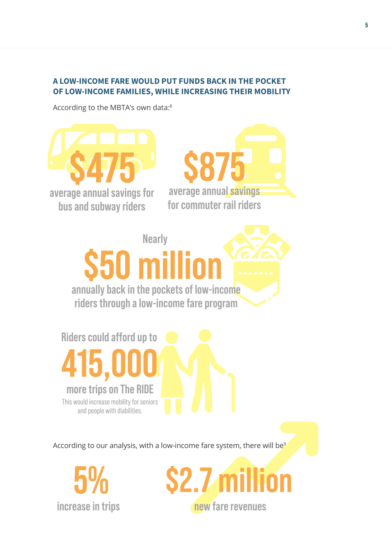# <span id="page-4-0"></span>A LOW-INCOME FARE WOULD PUT FUNDS BACK IN THE POCKET OF LOW-INCOME FAMILIES, WHILE INCREASING THEIR MOBILITY

According to the MBTA's own data:[8](#page-6-0)



According to our analysis, with a low-income fare system, there will be<sup>9</sup>

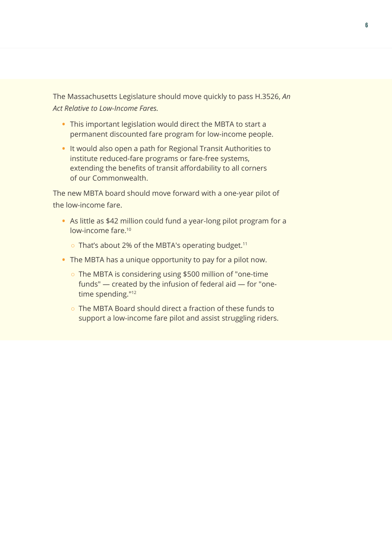<span id="page-5-0"></span>The Massachusetts Legislature should move quickly to pass H.3526, *An Act Relative to Low-Income Fares.*

- **•** This important legislation would direct the MBTA to start a permanent discounted fare program for low-income people.
- **•** It would also open a path for Regional Transit Authorities to institute reduced-fare programs or fare-free systems, extending the benefits of transit affordability to all corners of our Commonwealth.

The new MBTA board should move forward with a one-year pilot of the low-income fare.

- **•** As little as \$42 million could fund a year-long pilot program for a low-income fare[.10](#page-6-0)
	- o That's about 2% of the MBTA's operating budget.<sup>[11](#page-7-0)</sup>
- **•** The MBTA has a unique opportunity to pay for a pilot now.
	- The MBTA is considering using \$500 million of "one-time funds" — created by the infusion of federal aid — for "one-time spending."<sup>[12](#page-7-0)</sup>
	- The MBTA Board should direct a fraction of these funds to support a low-income fare pilot and assist struggling riders.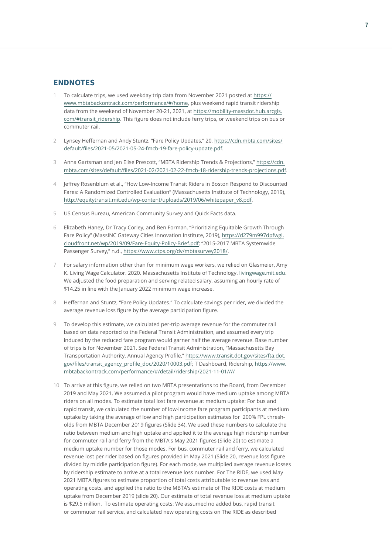#### <span id="page-6-0"></span>ENDNOTES

- [1](#page-0-0) To calculate trips, we used weekday trip data from November 2021 posted at [https://](https://www.mbtabackontrack.com/performance/#/home) [www.mbtabackontrack.com/performance/#/home](https://www.mbtabackontrack.com/performance/#/home), plus weekend rapid transit ridership data from the weekend of November 20-21, 2021, at [https://mobility-massdot.hub.arcgis.](https://mobility-massdot.hub.arcgis.com/#transit_ridership) [com/#transit\\_ridership](https://mobility-massdot.hub.arcgis.com/#transit_ridership). This figure does not include ferry trips, or weekend trips on bus or commuter rail.
- [2](#page-1-0) Lynsey Heffernan and Andy Stuntz, "Fare Policy Updates," 20, [https://cdn.mbta.com/sites/](https://cdn.mbta.com/sites/default/files/2021-05/2021-05-24-fmcb-19-fare-policy-update.pdf) [default/files/2021-05/2021-05-24-fmcb-19-fare-policy-update.pdf](https://cdn.mbta.com/sites/default/files/2021-05/2021-05-24-fmcb-19-fare-policy-update.pdf).
- [3](#page-1-0) Anna Gartsman and Jen Elise Prescott, "MBTA Ridership Trends & Projections," [https://cdn.](https://cdn.mbta.com/sites/default/files/2021-02/2021-02-22-fmcb-18-ridership-trends-projections.pdf) [mbta.com/sites/default/files/2021-02/2021-02-22-fmcb-18-ridership-trends-projections.pdf](https://cdn.mbta.com/sites/default/files/2021-02/2021-02-22-fmcb-18-ridership-trends-projections.pdf).
- [4](#page-1-0) Jeffrey Rosenblum et al., "How Low-Income Transit Riders in Boston Respond to Discounted Fares: A Randomized Controlled Evaluation" (Massachusetts Institute of Technology, 2019), [http://equitytransit.mit.edu/wp-content/uploads/2019/06/whitepaper\\_v8.pdf](http://equitytransit.mit.edu/wp-content/uploads/2019/06/whitepaper_v8.pdf).
- [5](#page-1-0) US Census Bureau, American Community Survey and Quick Facts data.
- [6](#page-1-0) Elizabeth Haney, Dr Tracy Corley, and Ben Forman, "Prioritizing Equitable Growth Through Fare Policy" (MassINC Gateway Cities Innovation Institute, 2019), [https://d279m997dpfwgl.](https://d279m997dpfwgl.cloudfront.net/wp/2019/09/Fare-Equity-Policy-Brief.pdf) [cloudfront.net/wp/2019/09/Fare-Equity-Policy-Brief.pdf](https://d279m997dpfwgl.cloudfront.net/wp/2019/09/Fare-Equity-Policy-Brief.pdf); "2015-2017 MBTA Systemwide Passenger Survey," n.d., [https://www.ctps.org/dv/mbtasurvey2018/.](https://www.ctps.org/dv/mbtasurvey2018/)
- [7](#page-3-0) For salary information other than for minimum wage workers, we relied on Glasmeier, Amy K. Living Wage Calculator. 2020. Massachusetts Institute of Technology. [livingwage.mit.edu](http://livingwage.mit.edu). We adjusted the food preparation and serving related salary, assuming an hourly rate of \$14.25 in line with the January 2022 minimum wage increase.
- [8](#page-4-0) Heffernan and Stuntz, "Fare Policy Updates." To calculate savings per rider, we divided the average revenue loss figure by the average participation figure.
- 9 To develop this estimate, we calculated per-trip average revenue for the commuter rail based on data reported to the Federal Transit Administration, and assumed every trip induced by the reduced fare program would garner half the average revenue. Base number of trips is for November 2021. See Federal Transit Administration, "Massachusetts Bay Transportation Authority, Annual Agency Profile," [https://www.transit.dot.gov/sites/fta.dot.](https://www.transit.dot.gov/sites/fta.dot.gov/files/transit_agency_profile_doc/2020/10003.pdf) [gov/files/transit\\_agency\\_profile\\_doc/2020/10003.pdf](https://www.transit.dot.gov/sites/fta.dot.gov/files/transit_agency_profile_doc/2020/10003.pdf); T Dashboard, Ridership, [https://www.](https://www.mbtabackontrack.com/performance/#/detail/ridership/2021-11-01////) [mbtabackontrack.com/performance/#/detail/ridership/2021-11-01////](https://www.mbtabackontrack.com/performance/#/detail/ridership/2021-11-01////)
- [10](#page-5-0) To arrive at this figure, we relied on two MBTA presentations to the Board, from December 2019 and May 2021. We assumed a pilot program would have medium uptake among MBTA riders on all modes. To estimate total lost fare revenue at medium uptake: For bus and rapid transit, we calculated the number of low-income fare program participants at medium uptake by taking the average of low and high participation estimates for 200% FPL thresholds from MBTA December 2019 figures (Slide 34). We used these numbers to calculate the ratio between medium and high uptake and applied it to the average high ridership number for commuter rail and ferry from the MBTA's May 2021 figures (Slide 20) to estimate a medium uptake number for those modes. For bus, commuter rail and ferry, we calculated revenue lost per rider based on figures provided in May 2021 (Slide 20, revenue loss figure divided by middle participation figure). For each mode, we multiplied average revenue losses by ridership estimate to arrive at a total revenue loss number. For The RIDE, we used May 2021 MBTA figures to estimate proportion of total costs attributable to revenue loss and operating costs, and applied the ratio to the MBTA's estimate of The RIDE costs at medium uptake from December 2019 (slide 20). Our estimate of total revenue loss at medium uptake is \$29.5 million. To estimate operating costs: We assumed no added bus, rapid transit or commuter rail service, and calculated new operating costs on The RIDE as described